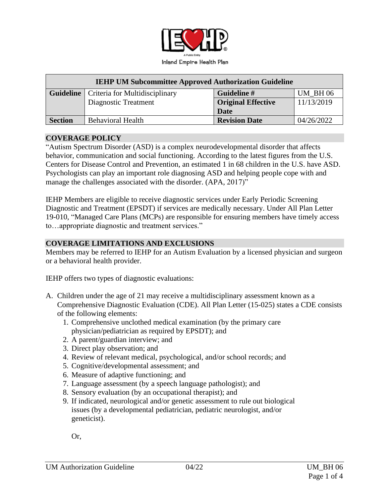

| <b>IEHP UM Subcommittee Approved Authorization Guideline</b> |                                                   |                           |                |
|--------------------------------------------------------------|---------------------------------------------------|---------------------------|----------------|
|                                                              | <b>Guideline</b>   Criteria for Multidisciplinary | Guideline #               | <b>UM BH06</b> |
|                                                              | Diagnostic Treatment                              | <b>Original Effective</b> | 11/13/2019     |
|                                                              |                                                   | <b>Date</b>               |                |
| <b>Section</b>                                               | <b>Behavioral Health</b>                          | <b>Revision Date</b>      | 04/26/2022     |

#### **COVERAGE POLICY**

"Autism Spectrum Disorder (ASD) is a complex neurodevelopmental disorder that affects behavior, communication and social functioning. According to the latest figures from the U.S. Centers for Disease Control and Prevention, an estimated 1 in 68 children in the U.S. have ASD. Psychologists can play an important role diagnosing ASD and helping people cope with and manage the challenges associated with the disorder. (APA, 2017)"

IEHP Members are eligible to receive diagnostic services under Early Periodic Screening Diagnostic and Treatment (EPSDT) if services are medically necessary. Under All Plan Letter 19-010, "Managed Care Plans (MCPs) are responsible for ensuring members have timely access to…appropriate diagnostic and treatment services."

#### **COVERAGE LIMITATIONS AND EXCLUSIONS**

Members may be referred to IEHP for an Autism Evaluation by a licensed physician and surgeon or a behavioral health provider.

IEHP offers two types of diagnostic evaluations:

- A. Children under the age of 21 may receive a multidisciplinary assessment known as a Comprehensive Diagnostic Evaluation (CDE). All Plan Letter (15-025) states a CDE consists of the following elements:
	- 1. Comprehensive unclothed medical examination (by the primary care physician/pediatrician as required by EPSDT); and
	- 2. A parent/guardian interview; and
	- 3. Direct play observation; and
	- 4. Review of relevant medical, psychological, and/or school records; and
	- 5. Cognitive/developmental assessment; and
	- 6. Measure of adaptive functioning; and
	- 7. Language assessment (by a speech language pathologist); and
	- 8. Sensory evaluation (by an occupational therapist); and
	- 9. If indicated, neurological and/or genetic assessment to rule out biological issues (by a developmental pediatrician, pediatric neurologist, and/or geneticist).

Or,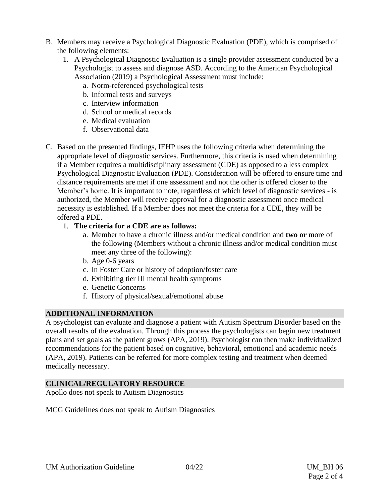- B. Members may receive a Psychological Diagnostic Evaluation (PDE), which is comprised of the following elements:
	- 1. A Psychological Diagnostic Evaluation is a single provider assessment conducted by a Psychologist to assess and diagnose ASD. According to the American Psychological Association (2019) a Psychological Assessment must include:
		- a. Norm-referenced psychological tests
		- b. Informal tests and surveys
		- c. Interview information
		- d. School or medical records
		- e. Medical evaluation
		- f. Observational data
- C. Based on the presented findings, IEHP uses the following criteria when determining the appropriate level of diagnostic services. Furthermore, this criteria is used when determining if a Member requires a multidisciplinary assessment (CDE) as opposed to a less complex Psychological Diagnostic Evaluation (PDE). Consideration will be offered to ensure time and distance requirements are met if one assessment and not the other is offered closer to the Member's home. It is important to note, regardless of which level of diagnostic services - is authorized, the Member will receive approval for a diagnostic assessment once medical necessity is established. If a Member does not meet the criteria for a CDE, they will be offered a PDE.

## 1. **The criteria for a CDE are as follows:**

- a. Member to have a chronic illness and/or medical condition and **two or** more of the following (Members without a chronic illness and/or medical condition must meet any three of the following):
- b. Age 0-6 years
- c. In Foster Care or history of adoption/foster care
- d. Exhibiting tier III mental health symptoms
- e. Genetic Concerns
- f. History of physical/sexual/emotional abuse

# **ADDITIONAL INFORMATION**

A psychologist can evaluate and diagnose a patient with Autism Spectrum Disorder based on the overall results of the evaluation. Through this process the psychologists can begin new treatment plans and set goals as the patient grows (APA, 2019). Psychologist can then make individualized recommendations for the patient based on cognitive, behavioral, emotional and academic needs (APA, 2019). Patients can be referred for more complex testing and treatment when deemed medically necessary.

## **CLINICAL/REGULATORY RESOURCE**

Apollo does not speak to Autism Diagnostics

MCG Guidelines does not speak to Autism Diagnostics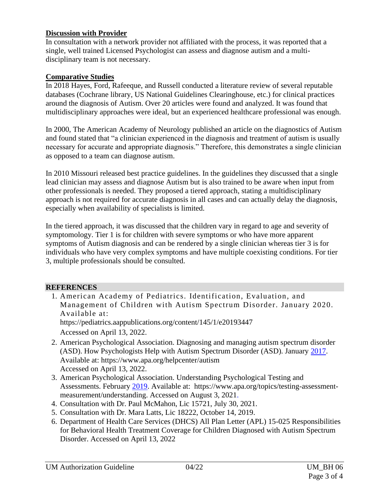### **Discussion with Provider**

In consultation with a network provider not affiliated with the process, it was reported that a single, well trained Licensed Psychologist can assess and diagnose autism and a multidisciplinary team is not necessary.

### **Comparative Studies**

In 2018 Hayes, Ford, Rafeeque, and Russell conducted a literature review of several reputable databases (Cochrane library, US National Guidelines Clearinghouse, etc.) for clinical practices around the diagnosis of Autism. Over 20 articles were found and analyzed. It was found that multidisciplinary approaches were ideal, but an experienced healthcare professional was enough.

In 2000, The American Academy of Neurology published an article on the diagnostics of Autism and found stated that "a clinician experienced in the diagnosis and treatment of autism is usually necessary for accurate and appropriate diagnosis." Therefore, this demonstrates a single clinician as opposed to a team can diagnose autism.

In 2010 Missouri released best practice guidelines. In the guidelines they discussed that a single lead clinician may assess and diagnose Autism but is also trained to be aware when input from other professionals is needed. They proposed a tiered approach, stating a multidisciplinary approach is not required for accurate diagnosis in all cases and can actually delay the diagnosis, especially when availability of specialists is limited.

In the tiered approach, it was discussed that the children vary in regard to age and severity of symptomology. Tier 1 is for children with severe symptoms or who have more apparent symptoms of Autism diagnosis and can be rendered by a single clinician whereas tier 3 is for individuals who have very complex symptoms and have multiple coexisting conditions. For tier 3, multiple professionals should be consulted.

#### **REFERENCES**

- 1. American Academy of Pediatrics. Identification, Evaluation, and Management of Children with Autism Spectrum Disorder. January 2020. Available at: <https://pediatrics.aappublications.org/content/145/1/e20193447> Accessed on April 13, 2022.
- 2. American Psychological Association. Diagnosing and managing autism spectrum disorder (ASD). How Psychologists Help with Autism Spectrum Disorder (ASD). January 2017. Available at: <https://www.apa.org/helpcenter/autism> Accessed on April 13, 2022.
- 3. American Psychological Association. Understanding Psychological Testing and Assessments. February 2019. Available at: [https://www.apa.org/topics/testing-assessment](https://www.apa.org/topics/testing-assessment-measurement/understanding)[measurement/understanding.](https://www.apa.org/topics/testing-assessment-measurement/understanding) Accessed on August 3, 2021.
- 4. Consultation with Dr. Paul McMahon, Lic 15721, July 30, 2021.
- 5. Consultation with Dr. Mara Latts, Lic 18222, October 14, 2019.
- 6. Department of Health Care Services (DHCS) All Plan Letter (APL) 15-025 Responsibilities for Behavioral Health Treatment Coverage for Children Diagnosed with Autism Spectrum Disorder. Accessed on April 13, 2022